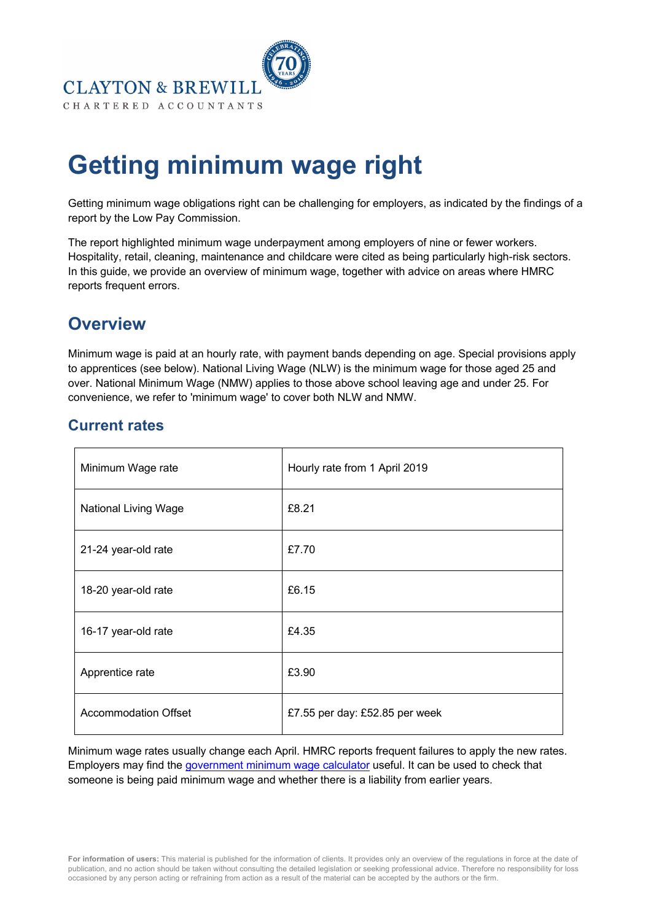

# **Getting minimum wage right**

Getting minimum wage obligations right can be challenging for employers, as indicated by the findings of a report by the Low Pay Commission.

The report highlighted minimum wage underpayment among employers of nine or fewer workers. Hospitality, retail, cleaning, maintenance and childcare were cited as being particularly high-risk sectors. In this guide, we provide an overview of minimum wage, together with advice on areas where HMRC reports frequent errors.

# **Overview**

Minimum wage is paid at an hourly rate, with payment bands depending on age. Special provisions apply to apprentices (see below). National Living Wage (NLW) is the minimum wage for those aged 25 and over. National Minimum Wage (NMW) applies to those above school leaving age and under 25. For convenience, we refer to 'minimum wage' to cover both NLW and NMW.

## **Current rates**

| Minimum Wage rate           | Hourly rate from 1 April 2019  |
|-----------------------------|--------------------------------|
| <b>National Living Wage</b> | £8.21                          |
| 21-24 year-old rate         | £7.70                          |
| 18-20 year-old rate         | £6.15                          |
| 16-17 year-old rate         | £4.35                          |
| Apprentice rate             | £3.90                          |
| <b>Accommodation Offset</b> | £7.55 per day: £52.85 per week |

Minimum wage rates usually change each April. HMRC reports frequent failures to apply the new rates. Employers may find the government minimum wage calculator useful. It can be used to check that someone is being paid minimum wage and whether there is a liability from earlier years.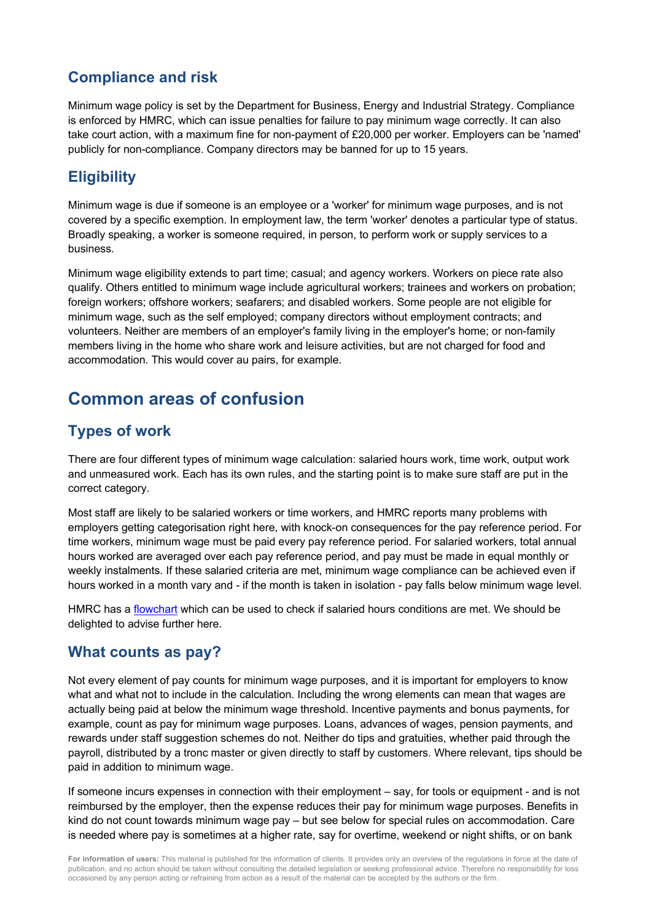# **Compliance and risk**

Minimum wage policy is set by the Department for Business, Energy and Industrial Strategy. Compliance is enforced by HMRC, which can issue penalties for failure to pay minimum wage correctly. It can also take court action, with a maximum fine for non-payment of £20,000 per worker. Employers can be 'named' publicly for non-compliance. Company directors may be banned for up to 15 years.

# **Eligibility**

Minimum wage is due if someone is an employee or a 'worker' for minimum wage purposes, and is not covered by a specific exemption. In employment law, the term 'worker' denotes a particular type of status. Broadly speaking, a worker is someone required, in person, to perform work or supply services to a business.

Minimum wage eligibility extends to part time; casual; and agency workers. Workers on piece rate also qualify. Others entitled to minimum wage include agricultural workers; trainees and workers on probation; foreign workers; offshore workers; seafarers; and disabled workers. Some people are not eligible for minimum wage, such as the self employed; company directors without employment contracts; and volunteers. Neither are members of an employer's family living in the employer's home; or non-family members living in the home who share work and leisure activities, but are not charged for food and accommodation. This would cover au pairs, for example.

# **Common areas of confusion**

## **Types of work**

There are four different types of minimum wage calculation: salaried hours work, time work, output work and unmeasured work. Each has its own rules, and the starting point is to make sure staff are put in the correct category.

Most staff are likely to be salaried workers or time workers, and HMRC reports many problems with employers getting categorisation right here, with knock-on consequences for the pay reference period. For time workers, minimum wage must be paid every pay reference period. For salaried workers, total annual hours worked are averaged over each pay reference period, and pay must be made in equal monthly or weekly instalments. If these salaried criteria are met, minimum wage compliance can be achieved even if hours worked in a month vary and - if the month is taken in isolation - pay falls below minimum wage level.

HMRC has a flowchart which can be used to check if salaried hours conditions are met. We should be delighted to advise further here.

## **What counts as pay?**

Not every element of pay counts for minimum wage purposes, and it is important for employers to know what and what not to include in the calculation. Including the wrong elements can mean that wages are actually being paid at below the minimum wage threshold. Incentive payments and bonus payments, for example, count as pay for minimum wage purposes. Loans, advances of wages, pension payments, and rewards under staff suggestion schemes do not. Neither do tips and gratuities, whether paid through the payroll, distributed by a tronc master or given directly to staff by customers. Where relevant, tips should be paid in addition to minimum wage.

If someone incurs expenses in connection with their employment – say, for tools or equipment - and is not reimbursed by the employer, then the expense reduces their pay for minimum wage purposes. Benefits in kind do not count towards minimum wage pay – but see below for special rules on accommodation. Care is needed where pay is sometimes at a higher rate, say for overtime, weekend or night shifts, or on bank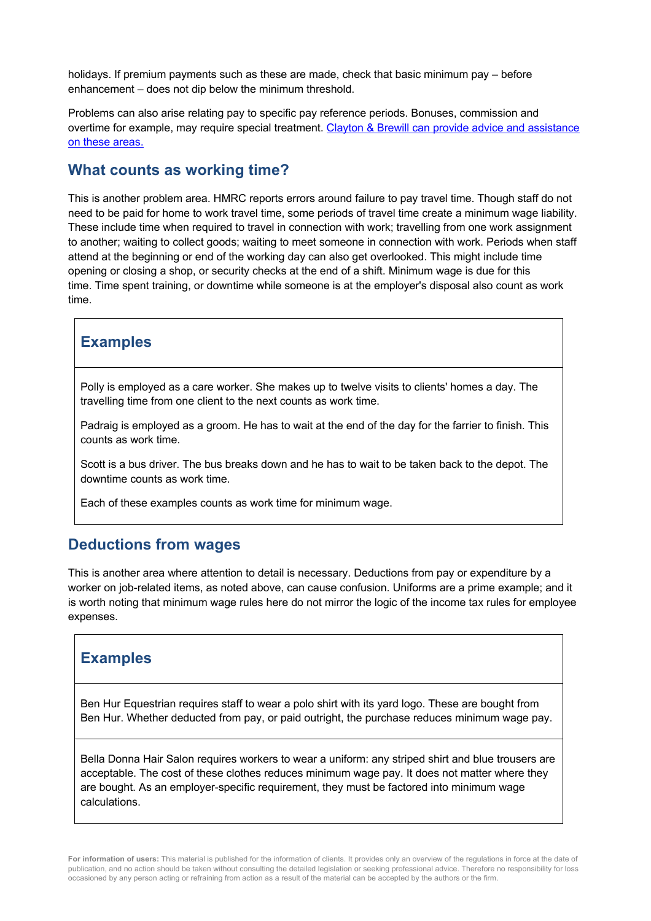holidays. If premium payments such as these are made, check that basic minimum pay – before enhancement – does not dip below the minimum threshold.

Problems can also arise relating pay to specific pay reference periods. Bonuses, commission and overtime for example, may require special treatment. Clayton & Brewill can provide advice and assistance on these areas.

#### **What counts as working time?**

This is another problem area. HMRC reports errors around failure to pay travel time. Though staff do not need to be paid for home to work travel time, some periods of travel time create a minimum wage liability. These include time when required to travel in connection with work; travelling from one work assignment to another; waiting to collect goods; waiting to meet someone in connection with work. Periods when staff attend at the beginning or end of the working day can also get overlooked. This might include time opening or closing a shop, or security checks at the end of a shift. Minimum wage is due for this time. Time spent training, or downtime while someone is at the employer's disposal also count as work time.

#### **Examples**

Polly is employed as a care worker. She makes up to twelve visits to clients' homes a day. The travelling time from one client to the next counts as work time.

Padraig is employed as a groom. He has to wait at the end of the day for the farrier to finish. This counts as work time.

Scott is a bus driver. The bus breaks down and he has to wait to be taken back to the depot. The downtime counts as work time.

Each of these examples counts as work time for minimum wage.

#### **Deductions from wages**

This is another area where attention to detail is necessary. Deductions from pay or expenditure by a worker on job-related items, as noted above, can cause confusion. Uniforms are a prime example; and it is worth noting that minimum wage rules here do not mirror the logic of the income tax rules for employee expenses.

#### **Examples**

Ben Hur Equestrian requires staff to wear a polo shirt with its yard logo. These are bought from Ben Hur. Whether deducted from pay, or paid outright, the purchase reduces minimum wage pay.

Bella Donna Hair Salon requires workers to wear a uniform: any striped shirt and blue trousers are acceptable. The cost of these clothes reduces minimum wage pay. It does not matter where they are bought. As an employer-specific requirement, they must be factored into minimum wage calculations.